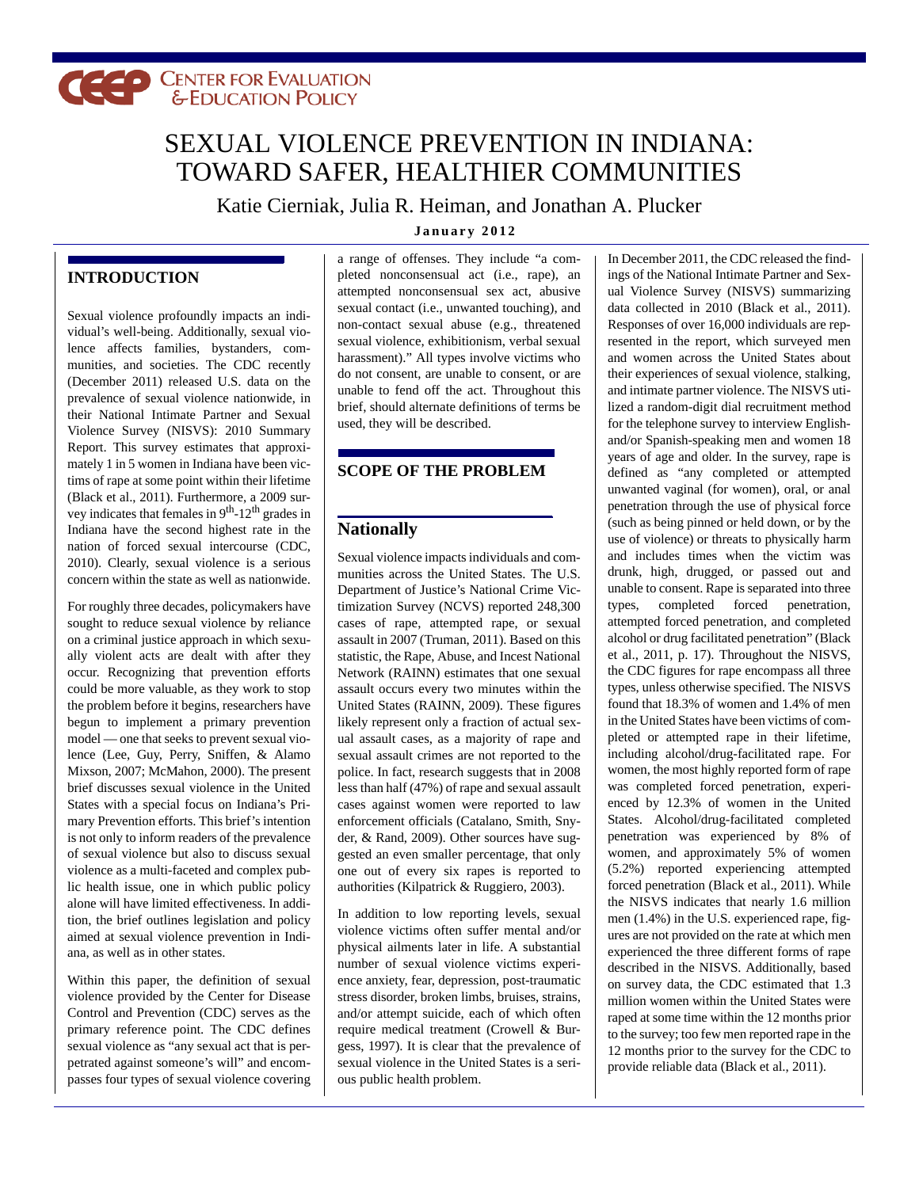# **CELP CENTER FOR EVALUATION**

## SEXUAL VIOLENCE PREVENTION IN INDIANA: TOWARD SAFER, HEALTHIER COMMUNITIES

Katie Cierniak, Julia R. Heiman, and Jonathan A. Plucker **January 2012**

## **INTRODUCTION**

Sexual violence profoundly impacts an individual's well-being. Additionally, sexual violence affects families, bystanders, communities, and societies. The CDC recently (December 2011) released U.S. data on the prevalence of sexual violence nationwide, in their National Intimate Partner and Sexual Violence Survey (NISVS): 2010 Summary Report. This survey estimates that approximately 1 in 5 women in Indiana have been victims of rape at some point within their lifetime (Black et al., 2011). Furthermore, a 2009 survey indicates that females in  $9<sup>th</sup>$ -12<sup>th</sup> grades in Indiana have the second highest rate in the nation of forced sexual intercourse (CDC, 2010). Clearly, sexual violence is a serious concern within the state as well as nationwide.

For roughly three decades, policymakers have sought to reduce sexual violence by reliance on a criminal justice approach in which sexually violent acts are dealt with after they occur. Recognizing that prevention efforts could be more valuable, as they work to stop the problem before it begins, researchers have begun to implement a primary prevention model — one that seeks to prevent sexual violence (Lee, Guy, Perry, Sniffen, & Alamo Mixson, 2007; McMahon, 2000). The present brief discusses sexual violence in the United States with a special focus on Indiana's Primary Prevention efforts. This brief's intention is not only to inform readers of the prevalence of sexual violence but also to discuss sexual violence as a multi-faceted and complex public health issue, one in which public policy alone will have limited effectiveness. In addition, the brief outlines legislation and policy aimed at sexual violence prevention in Indiana, as well as in other states.

Within this paper, the definition of sexual violence provided by the Center for Disease Control and Prevention (CDC) serves as the primary reference point. The CDC defines sexual violence as "any sexual act that is perpetrated against someone's will" and encompasses four types of sexual violence covering a range of offenses. They include "a completed nonconsensual act (i.e., rape), an attempted nonconsensual sex act, abusive sexual contact (i.e., unwanted touching), and non-contact sexual abuse (e.g., threatened sexual violence, exhibitionism, verbal sexual harassment)." All types involve victims who do not consent, are unable to consent, or are unable to fend off the act. Throughout this brief, should alternate definitions of terms be used, they will be described.

## **SCOPE OF THE PROBLEM**

## **Nationally**

Sexual violence impacts individuals and communities across the United States. The U.S. Department of Justice's National Crime Victimization Survey (NCVS) reported 248,300 cases of rape, attempted rape, or sexual assault in 2007 (Truman, 2011). Based on this statistic, the Rape, Abuse, and Incest National Network (RAINN) estimates that one sexual assault occurs every two minutes within the United States (RAINN, 2009). These figures likely represent only a fraction of actual sexual assault cases, as a majority of rape and sexual assault crimes are not reported to the police. In fact, research suggests that in 2008 less than half (47%) of rape and sexual assault cases against women were reported to law enforcement officials (Catalano, Smith, Snyder, & Rand, 2009). Other sources have suggested an even smaller percentage, that only one out of every six rapes is reported to authorities (Kilpatrick & Ruggiero, 2003).

In addition to low reporting levels, sexual violence victims often suffer mental and/or physical ailments later in life. A substantial number of sexual violence victims experience anxiety, fear, depression, post-traumatic stress disorder, broken limbs, bruises, strains, and/or attempt suicide, each of which often require medical treatment (Crowell & Burgess, 1997). It is clear that the prevalence of sexual violence in the United States is a serious public health problem.

In December 2011, the CDC released the findings of the National Intimate Partner and Sexual Violence Survey (NISVS) summarizing data collected in 2010 (Black et al., 2011). Responses of over 16,000 individuals are represented in the report, which surveyed men and women across the United States about their experiences of sexual violence, stalking, and intimate partner violence. The NISVS utilized a random-digit dial recruitment method for the telephone survey to interview Englishand/or Spanish-speaking men and women 18 years of age and older. In the survey, rape is defined as "any completed or attempted unwanted vaginal (for women), oral, or anal penetration through the use of physical force (such as being pinned or held down, or by the use of violence) or threats to physically harm and includes times when the victim was drunk, high, drugged, or passed out and unable to consent. Rape is separated into three types, completed forced penetration, attempted forced penetration, and completed alcohol or drug facilitated penetration" (Black et al., 2011, p. 17). Throughout the NISVS, the CDC figures for rape encompass all three types, unless otherwise specified. The NISVS found that 18.3% of women and 1.4% of men in the United States have been victims of completed or attempted rape in their lifetime, including alcohol/drug-facilitated rape. For women, the most highly reported form of rape was completed forced penetration, experienced by 12.3% of women in the United States. Alcohol/drug-facilitated completed penetration was experienced by 8% of women, and approximately 5% of women (5.2%) reported experiencing attempted forced penetration (Black et al., 2011). While the NISVS indicates that nearly 1.6 million men (1.4%) in the U.S. experienced rape, figures are not provided on the rate at which men experienced the three different forms of rape described in the NISVS. Additionally, based on survey data, the CDC estimated that 1.3 million women within the United States were raped at some time within the 12 months prior to the survey; too few men reported rape in the 12 months prior to the survey for the CDC to provide reliable data (Black et al., 2011).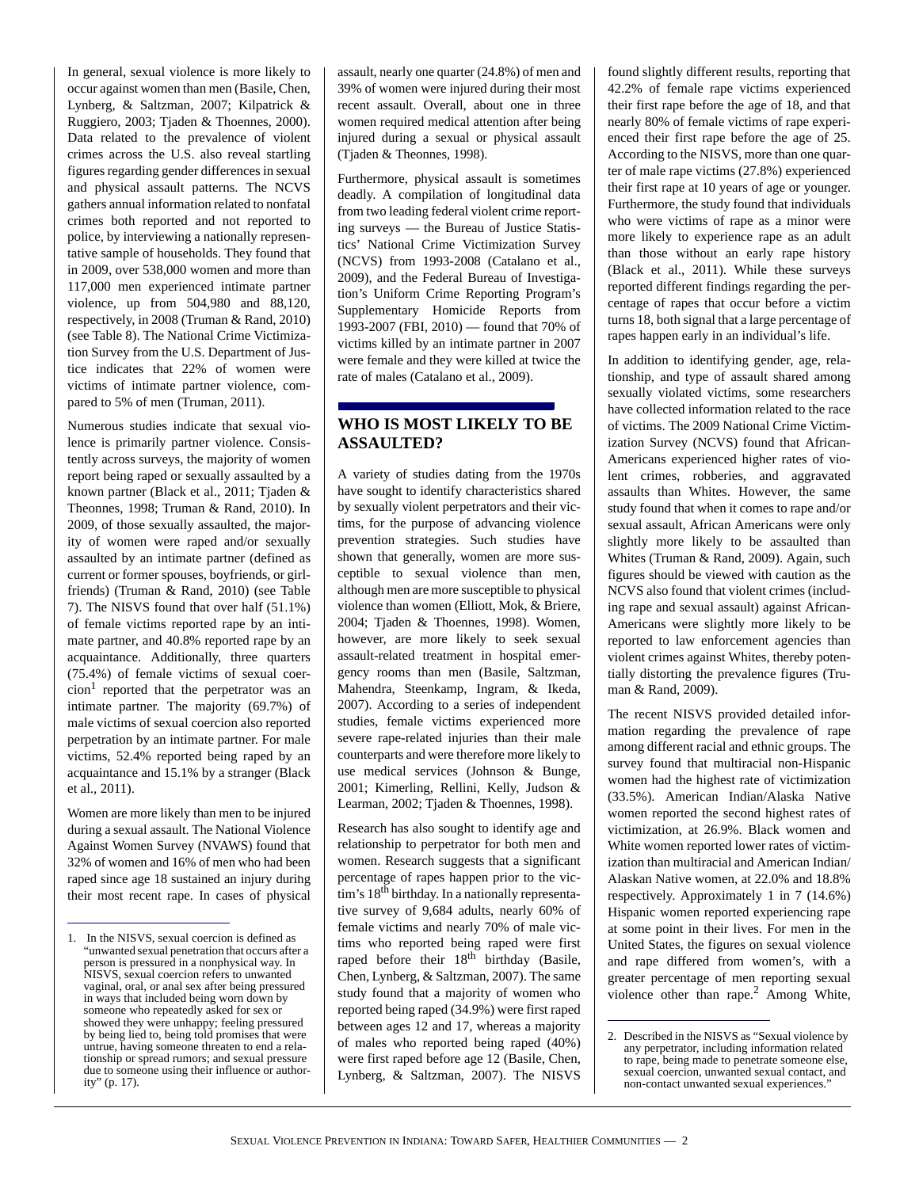In general, sexual violence is more likely to occur against women than men (Basile, Chen, Lynberg, & Saltzman, 2007; Kilpatrick & Ruggiero, 2003; Tjaden & Thoennes, 2000). Data related to the prevalence of violent crimes across the U.S. also reveal startling figures regarding gender differences in sexual and physical assault patterns. The NCVS gathers annual information related to nonfatal crimes both reported and not reported to police, by interviewing a nationally representative sample of households. They found that in 2009, over 538,000 women and more than 117,000 men experienced intimate partner violence, up from 504,980 and 88,120, respectively, in 2008 (Truman & Rand, 2010) (see Table 8). The National Crime Victimization Survey from the U.S. Department of Justice indicates that 22% of women were victims of intimate partner violence, compared to 5% of men (Truman, 2011).

Numerous studies indicate that sexual violence is primarily partner violence. Consistently across surveys, the majority of women report being raped or sexually assaulted by a known partner (Black et al., 2011; Tjaden & Theonnes, 1998; Truman & Rand, 2010). In 2009, of those sexually assaulted, the majority of women were raped and/or sexually assaulted by an intimate partner (defined as current or former spouses, boyfriends, or girlfriends) (Truman & Rand, 2010) (see Table 7). The NISVS found that over half (51.1%) of female victims reported rape by an intimate partner, and 40.8% reported rape by an acquaintance. Additionally, three quarters (75.4%) of female victims of sexual coer- $\text{cion}^1$  reported that the perpetrator was an intimate partner. The majority (69.7%) of male victims of sexual coercion also reported perpetration by an intimate partner. For male victims, 52.4% reported being raped by an acquaintance and 15.1% by a stranger (Black et al., 2011).

Women are more likely than men to be injured during a sexual assault. The National Violence Against Women Survey (NVAWS) found that 32% of women and 16% of men who had been raped since age 18 sustained an injury during .their most recent rape. In cases of physical assault, nearly one quarter (24.8%) of men and 39% of women were injured during their most recent assault. Overall, about one in three women required medical attention after being injured during a sexual or physical assault (Tjaden & Theonnes, 1998).

Furthermore, physical assault is sometimes deadly. A compilation of longitudinal data from two leading federal violent crime reporting surveys — the Bureau of Justice Statistics' National Crime Victimization Survey (NCVS) from 1993-2008 (Catalano et al., 2009), and the Federal Bureau of Investigation's Uniform Crime Reporting Program's Supplementary Homicide Reports from 1993-2007 (FBI, 2010) — found that 70% of victims killed by an intimate partner in 2007 were female and they were killed at twice the rate of males (Catalano et al., 2009).

## **WHO IS MOST LIKELY TO BE ASSAULTED?**

A variety of studies dating from the 1970s have sought to identify characteristics shared by sexually violent perpetrators and their victims, for the purpose of advancing violence prevention strategies. Such studies have shown that generally, women are more susceptible to sexual violence than men, although men are more susceptible to physical violence than women (Elliott, Mok, & Briere, 2004; Tjaden & Thoennes, 1998). Women, however, are more likely to seek sexual assault-related treatment in hospital emergency rooms than men (Basile, Saltzman, Mahendra, Steenkamp, Ingram, & Ikeda, 2007). According to a series of independent studies, female victims experienced more severe rape-related injuries than their male counterparts and were therefore more likely to use medical services (Johnson & Bunge, 2001; Kimerling, Rellini, Kelly, Judson & Learman, 2002; Tjaden & Thoennes, 1998).

Research has also sought to identify age and relationship to perpetrator for both men and women. Research suggests that a significant percentage of rapes happen prior to the victim's 18<sup>th</sup> birthday. In a nationally representative survey of 9,684 adults, nearly 60% of female victims and nearly 70% of male victims who reported being raped were first raped before their  $18<sup>th</sup>$  birthday (Basile, Chen, Lynberg, & Saltzman, 2007). The same study found that a majority of women who reported being raped (34.9%) were first raped between ages 12 and 17, whereas a majority of males who reported being raped (40%) were first raped before age 12 (Basile, Chen, Lynberg, & Saltzman, 2007). The NISVS

found slightly different results, reporting that 42.2% of female rape victims experienced their first rape before the age of 18, and that nearly 80% of female victims of rape experienced their first rape before the age of 25. According to the NISVS, more than one quarter of male rape victims (27.8%) experienced their first rape at 10 years of age or younger. Furthermore, the study found that individuals who were victims of rape as a minor were more likely to experience rape as an adult than those without an early rape history (Black et al., 2011). While these surveys reported different findings regarding the percentage of rapes that occur before a victim turns 18, both signal that a large percentage of rapes happen early in an individual's life.

In addition to identifying gender, age, relationship, and type of assault shared among sexually violated victims, some researchers have collected information related to the race of victims. The 2009 National Crime Victimization Survey (NCVS) found that African-Americans experienced higher rates of violent crimes, robberies, and aggravated assaults than Whites. However, the same study found that when it comes to rape and/or sexual assault, African Americans were only slightly more likely to be assaulted than Whites (Truman & Rand, 2009). Again, such figures should be viewed with caution as the NCVS also found that violent crimes (including rape and sexual assault) against African-Americans were slightly more likely to be reported to law enforcement agencies than violent crimes against Whites, thereby potentially distorting the prevalence figures (Truman & Rand, 2009).

The recent NISVS provided detailed information regarding the prevalence of rape among different racial and ethnic groups. The survey found that multiracial non-Hispanic women had the highest rate of victimization (33.5%). American Indian/Alaska Native women reported the second highest rates of victimization, at 26.9%. Black women and White women reported lower rates of victimization than multiracial and American Indian/ Alaskan Native women, at 22.0% and 18.8% respectively. Approximately 1 in 7 (14.6%) Hispanic women reported experiencing rape at some point in their lives. For men in the United States, the figures on sexual violence and rape differed from women's, with a greater percentage of men reporting sexual violence other than rape.<sup>2</sup> Among White,

<sup>1.</sup> In the NISVS, sexual coercion is defined as "unwanted sexual penetration that occurs after a person is pressured in a nonphysical way. In NISVS, sexual coercion refers to unwanted vaginal, oral, or anal sex after being pressured in ways that included being worn down by someone who repeatedly asked for sex or showed they were unhappy; feeling pressured by being lied to, being told promises that were untrue, having someone threaten to end a relationship or spread rumors; and sexual pressure due to someone using their influence or authority" (p. 17).

<sup>2.</sup> Described in the NISVS as "Sexual violence by any perpetrator, including information related to rape, being made to penetrate someone else, sexual coercion, unwanted sexual contact, and non-contact unwanted sexual experiences.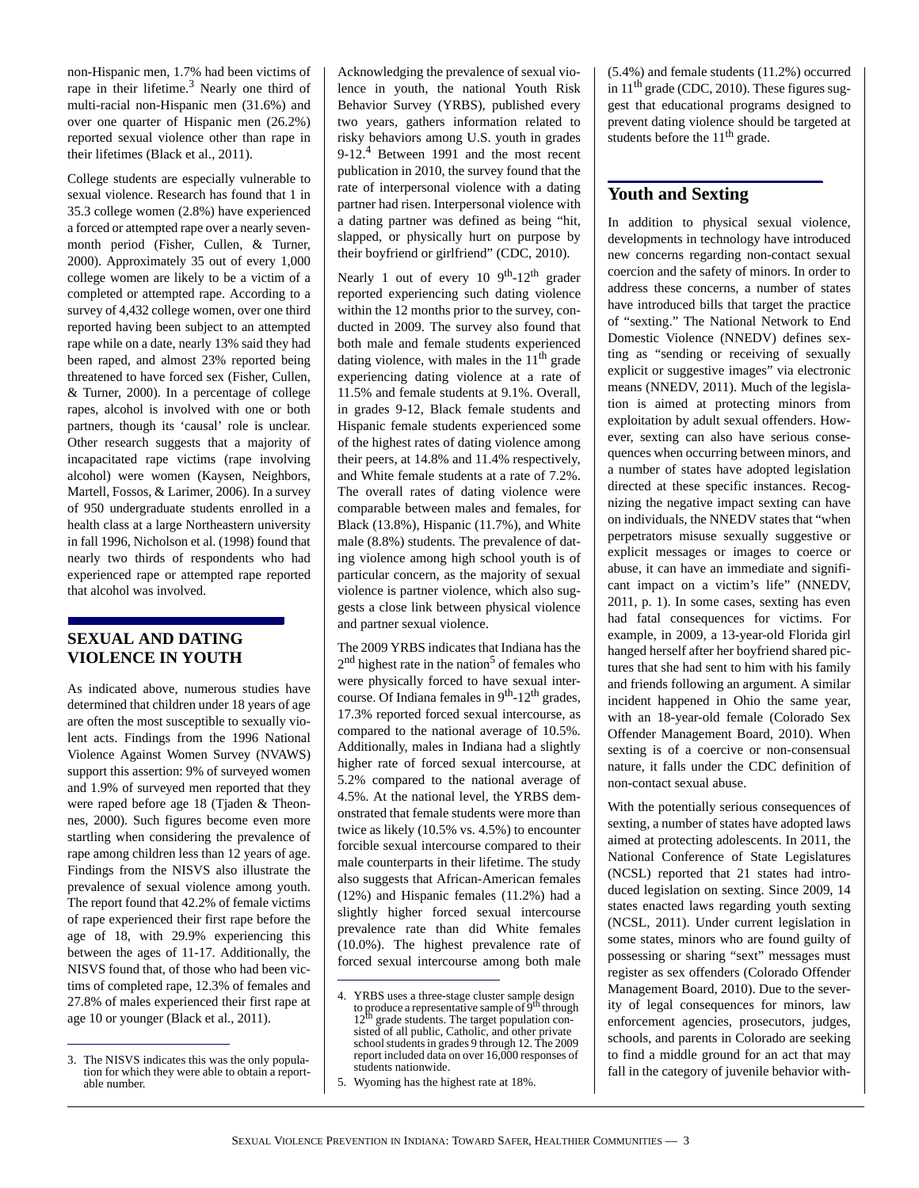non-Hispanic men, 1.7% had been victims of rape in their lifetime. $3$  Nearly one third of multi-racial non-Hispanic men (31.6%) and over one quarter of Hispanic men (26.2%) reported sexual violence other than rape in their lifetimes (Black et al., 2011).

College students are especially vulnerable to sexual violence. Research has found that 1 in 35.3 college women (2.8%) have experienced a forced or attempted rape over a nearly sevenmonth period (Fisher, Cullen, & Turner, 2000). Approximately 35 out of every 1,000 college women are likely to be a victim of a completed or attempted rape. According to a survey of 4,432 college women, over one third reported having been subject to an attempted rape while on a date, nearly 13% said they had been raped, and almost 23% reported being threatened to have forced sex (Fisher, Cullen, & Turner, 2000). In a percentage of college rapes, alcohol is involved with one or both partners, though its 'causal' role is unclear. Other research suggests that a majority of incapacitated rape victims (rape involving alcohol) were women (Kaysen, Neighbors, Martell, Fossos, & Larimer, 2006). In a survey of 950 undergraduate students enrolled in a health class at a large Northeastern university in fall 1996, Nicholson et al. (1998) found that nearly two thirds of respondents who had experienced rape or attempted rape reported that alcohol was involved.

## **SEXUAL AND DATING VIOLENCE IN YOUTH**

As indicated above, numerous studies have determined that children under 18 years of age are often the most susceptible to sexually violent acts. Findings from the 1996 National Violence Against Women Survey (NVAWS) support this assertion: 9% of surveyed women and 1.9% of surveyed men reported that they were raped before age 18 (Tjaden & Theonnes, 2000). Such figures become even more startling when considering the prevalence of rape among children less than 12 years of age. Findings from the NISVS also illustrate the prevalence of sexual violence among youth. The report found that 42.2% of female victims of rape experienced their first rape before the age of 18, with 29.9% experiencing this between the ages of 11-17. Additionally, the NISVS found that, of those who had been victims of completed rape, 12.3% of females and 27.8% of males experienced their first rape at age 10 or younger (Black et al., 2011).

Acknowledging the prevalence of sexual violence in youth, the national Youth Risk Behavior Survey (YRBS), published every two years, gathers information related to risky behaviors among U.S. youth in grades 9-12.<sup>4</sup> Between 1991 and the most recent publication in 2010, the survey found that the rate of interpersonal violence with a dating partner had risen. Interpersonal violence with a dating partner was defined as being "hit, slapped, or physically hurt on purpose by their boyfriend or girlfriend" (CDC, 2010).

Nearly 1 out of every 10 9<sup>th</sup>-12<sup>th</sup> grader reported experiencing such dating violence within the 12 months prior to the survey, conducted in 2009. The survey also found that both male and female students experienced dating violence, with males in the  $11<sup>th</sup>$  grade experiencing dating violence at a rate of 11.5% and female students at 9.1%. Overall, in grades 9-12, Black female students and Hispanic female students experienced some of the highest rates of dating violence among their peers, at 14.8% and 11.4% respectively, and White female students at a rate of 7.2%. The overall rates of dating violence were comparable between males and females, for Black (13.8%), Hispanic (11.7%), and White male (8.8%) students. The prevalence of dating violence among high school youth is of particular concern, as the majority of sexual violence is partner violence, which also suggests a close link between physical violence and partner sexual violence.

The 2009 YRBS indicates that Indiana has the 2<sup>nd</sup> highest rate in the nation<sup>5</sup> of females who were physically forced to have sexual intercourse. Of Indiana females in  $9<sup>th</sup>$ -12<sup>th</sup> grades, 17.3% reported forced sexual intercourse, as compared to the national average of 10.5%. Additionally, males in Indiana had a slightly higher rate of forced sexual intercourse, at 5.2% compared to the national average of 4.5%. At the national level, the YRBS demonstrated that female students were more than twice as likely (10.5% vs. 4.5%) to encounter forcible sexual intercourse compared to their male counterparts in their lifetime. The study also suggests that African-American females (12%) and Hispanic females (11.2%) had a slightly higher forced sexual intercourse prevalence rate than did White females (10.0%). The highest prevalence rate of forced sexual intercourse among both male

(5.4%) and female students (11.2%) occurred in  $11<sup>th</sup>$  grade (CDC, 2010). These figures suggest that educational programs designed to prevent dating violence should be targeted at students before the  $11<sup>th</sup>$  grade.

## **Youth and Sexting**

In addition to physical sexual violence, developments in technology have introduced new concerns regarding non-contact sexual coercion and the safety of minors. In order to address these concerns, a number of states have introduced bills that target the practice of "sexting." The National Network to End Domestic Violence (NNEDV) defines sexting as "sending or receiving of sexually explicit or suggestive images" via electronic means (NNEDV, 2011). Much of the legislation is aimed at protecting minors from exploitation by adult sexual offenders. However, sexting can also have serious consequences when occurring between minors, and a number of states have adopted legislation directed at these specific instances. Recognizing the negative impact sexting can have on individuals, the NNEDV states that "when perpetrators misuse sexually suggestive or explicit messages or images to coerce or abuse, it can have an immediate and significant impact on a victim's life" (NNEDV, 2011, p. 1). In some cases, sexting has even had fatal consequences for victims. For example, in 2009, a 13-year-old Florida girl hanged herself after her boyfriend shared pictures that she had sent to him with his family and friends following an argument. A similar incident happened in Ohio the same year, with an 18-year-old female (Colorado Sex Offender Management Board, 2010). When sexting is of a coercive or non-consensual nature, it falls under the CDC definition of non-contact sexual abuse.

With the potentially serious consequences of sexting, a number of states have adopted laws aimed at protecting adolescents. In 2011, the National Conference of State Legislatures (NCSL) reported that 21 states had introduced legislation on sexting. Since 2009, 14 states enacted laws regarding youth sexting (NCSL, 2011). Under current legislation in some states, minors who are found guilty of possessing or sharing "sext" messages must register as sex offenders (Colorado Offender Management Board, 2010). Due to the severity of legal consequences for minors, law enforcement agencies, prosecutors, judges, schools, and parents in Colorado are seeking to find a middle ground for an act that may 3. The NISVS indicates this was the only popula-<br>tion for which they were able to obtain a report-<br>students nationwide. The category of juvenile behavior with-<br>fall in the category of juvenile behavior with-

tion for which they were able to obtain a reportable number.

<sup>4.</sup> YRBS uses a three-stage cluster sample design to produce a representative sample of  $9<sup>th</sup>$  through  $12<sup>th</sup>$  grade students. The target population con-12<sup>th</sup> grade students. The target population consisted of all public, Catholic, and other private school students in grades 9 through 12. The 2009 report included data on over 16,000 responses of students nationwide.

<sup>5.</sup> Wyoming has the highest rate at 18%.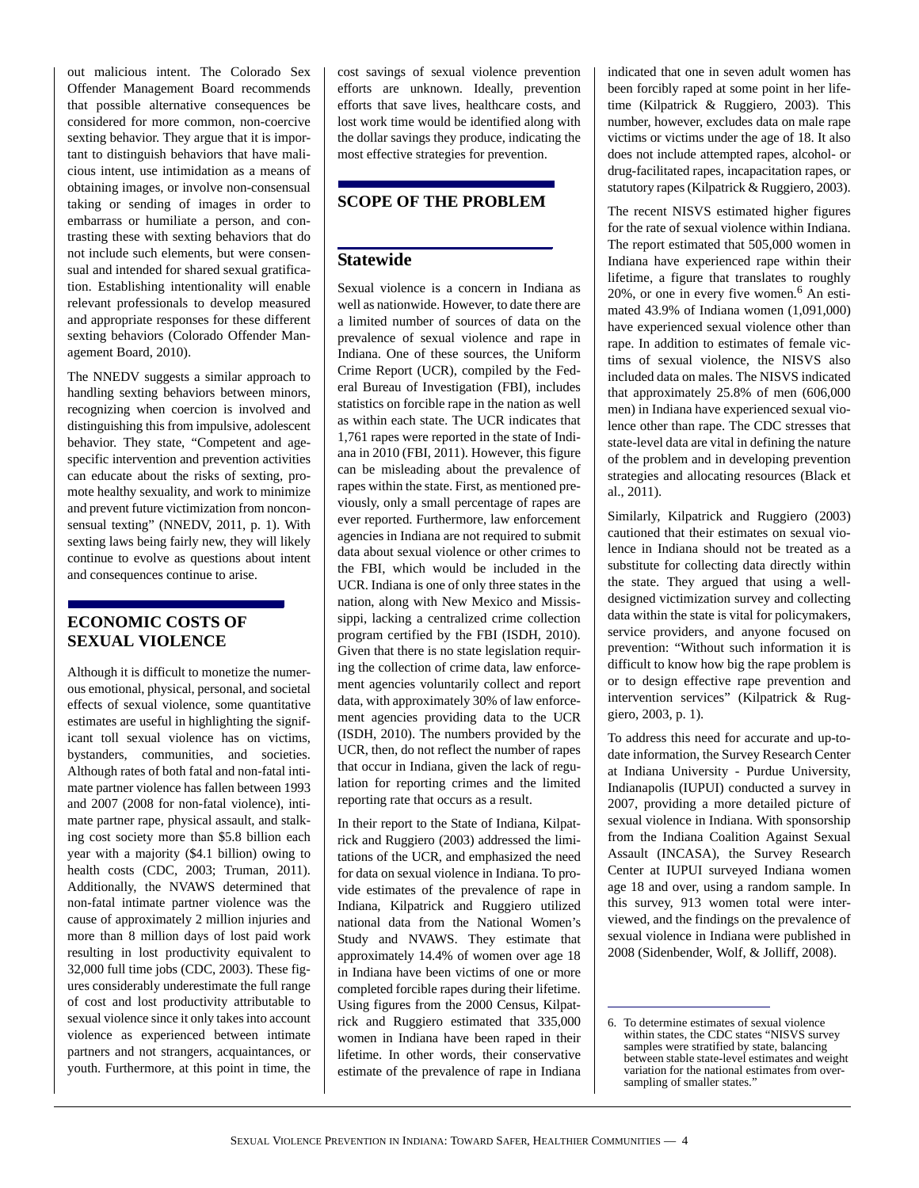out malicious intent. The Colorado Sex Offender Management Board recommends that possible alternative consequences be considered for more common, non-coercive sexting behavior. They argue that it is important to distinguish behaviors that have malicious intent, use intimidation as a means of obtaining images, or involve non-consensual taking or sending of images in order to embarrass or humiliate a person, and contrasting these with sexting behaviors that do not include such elements, but were consensual and intended for shared sexual gratification. Establishing intentionality will enable relevant professionals to develop measured and appropriate responses for these different sexting behaviors (Colorado Offender Management Board, 2010).

The NNEDV suggests a similar approach to handling sexting behaviors between minors, recognizing when coercion is involved and distinguishing this from impulsive, adolescent behavior. They state, "Competent and agespecific intervention and prevention activities can educate about the risks of sexting, promote healthy sexuality, and work to minimize and prevent future victimization from nonconsensual texting" (NNEDV, 2011, p. 1). With sexting laws being fairly new, they will likely continue to evolve as questions about intent and consequences continue to arise.

## **ECONOMIC COSTS OF SEXUAL VIOLENCE**

Although it is difficult to monetize the numerous emotional, physical, personal, and societal effects of sexual violence, some quantitative estimates are useful in highlighting the significant toll sexual violence has on victims, bystanders, communities, and societies. Although rates of both fatal and non-fatal intimate partner violence has fallen between 1993 and 2007 (2008 for non-fatal violence), intimate partner rape, physical assault, and stalking cost society more than \$5.8 billion each year with a majority (\$4.1 billion) owing to health costs (CDC, 2003; Truman, 2011). Additionally, the NVAWS determined that non-fatal intimate partner violence was the cause of approximately 2 million injuries and more than 8 million days of lost paid work resulting in lost productivity equivalent to 32,000 full time jobs (CDC, 2003). These figures considerably underestimate the full range of cost and lost productivity attributable to sexual violence since it only takes into account violence as experienced between intimate partners and not strangers, acquaintances, or youth. Furthermore, at this point in time, the

cost savings of sexual violence prevention efforts are unknown. Ideally, prevention efforts that save lives, healthcare costs, and lost work time would be identified along with the dollar savings they produce, indicating the most effective strategies for prevention.

## **SCOPE OF THE PROBLEM**

## **Statewide**

Sexual violence is a concern in Indiana as well as nationwide. However, to date there are a limited number of sources of data on the prevalence of sexual violence and rape in Indiana. One of these sources, the Uniform Crime Report (UCR), compiled by the Federal Bureau of Investigation (FBI), includes statistics on forcible rape in the nation as well as within each state. The UCR indicates that 1,761 rapes were reported in the state of Indiana in 2010 (FBI, 2011). However, this figure can be misleading about the prevalence of rapes within the state. First, as mentioned previously, only a small percentage of rapes are ever reported. Furthermore, law enforcement agencies in Indiana are not required to submit data about sexual violence or other crimes to the FBI, which would be included in the UCR. Indiana is one of only three states in the nation, along with New Mexico and Mississippi, lacking a centralized crime collection program certified by the FBI (ISDH, 2010). Given that there is no state legislation requiring the collection of crime data, law enforcement agencies voluntarily collect and report data, with approximately 30% of law enforcement agencies providing data to the UCR (ISDH, 2010). The numbers provided by the UCR, then, do not reflect the number of rapes that occur in Indiana, given the lack of regulation for reporting crimes and the limited reporting rate that occurs as a result.

In their report to the State of Indiana, Kilpatrick and Ruggiero (2003) addressed the limitations of the UCR, and emphasized the need for data on sexual violence in Indiana. To provide estimates of the prevalence of rape in Indiana, Kilpatrick and Ruggiero utilized national data from the National Women's Study and NVAWS. They estimate that approximately 14.4% of women over age 18 in Indiana have been victims of one or more completed forcible rapes during their lifetime. Using figures from the 2000 Census, Kilpatrick and Ruggiero estimated that 335,000 women in Indiana have been raped in their lifetime. In other words, their conservative estimate of the prevalence of rape in Indiana

indicated that one in seven adult women has been forcibly raped at some point in her lifetime (Kilpatrick & Ruggiero, 2003). This number, however, excludes data on male rape victims or victims under the age of 18. It also does not include attempted rapes, alcohol- or drug-facilitated rapes, incapacitation rapes, or statutory rapes (Kilpatrick & Ruggiero, 2003).

The recent NISVS estimated higher figures for the rate of sexual violence within Indiana. The report estimated that 505,000 women in Indiana have experienced rape within their lifetime, a figure that translates to roughly  $20\%$ , or one in every five women.<sup>6</sup> An estimated 43.9% of Indiana women (1,091,000) have experienced sexual violence other than rape. In addition to estimates of female victims of sexual violence, the NISVS also included data on males. The NISVS indicated that approximately 25.8% of men (606,000 men) in Indiana have experienced sexual violence other than rape. The CDC stresses that state-level data are vital in defining the nature of the problem and in developing prevention strategies and allocating resources (Black et al., 2011).

Similarly, Kilpatrick and Ruggiero (2003) cautioned that their estimates on sexual violence in Indiana should not be treated as a substitute for collecting data directly within the state. They argued that using a welldesigned victimization survey and collecting data within the state is vital for policymakers, service providers, and anyone focused on prevention: "Without such information it is difficult to know how big the rape problem is or to design effective rape prevention and intervention services" (Kilpatrick & Ruggiero, 2003, p. 1).

To address this need for accurate and up-todate information, the Survey Research Center at Indiana University - Purdue University, Indianapolis (IUPUI) conducted a survey in 2007, providing a more detailed picture of sexual violence in Indiana. With sponsorship from the Indiana Coalition Against Sexual Assault (INCASA), the Survey Research Center at IUPUI surveyed Indiana women age 18 and over, using a random sample. In this survey, 913 women total were interviewed, and the findings on the prevalence of sexual violence in Indiana were published in 2008 (Sidenbender, Wolf, & Jolliff, 2008).

<sup>6.</sup> To determine estimates of sexual violence within states, the CDC states "NISVS survey samples were stratified by state, balancing between stable state-level estimates and weight variation for the national estimates from oversampling of smaller states."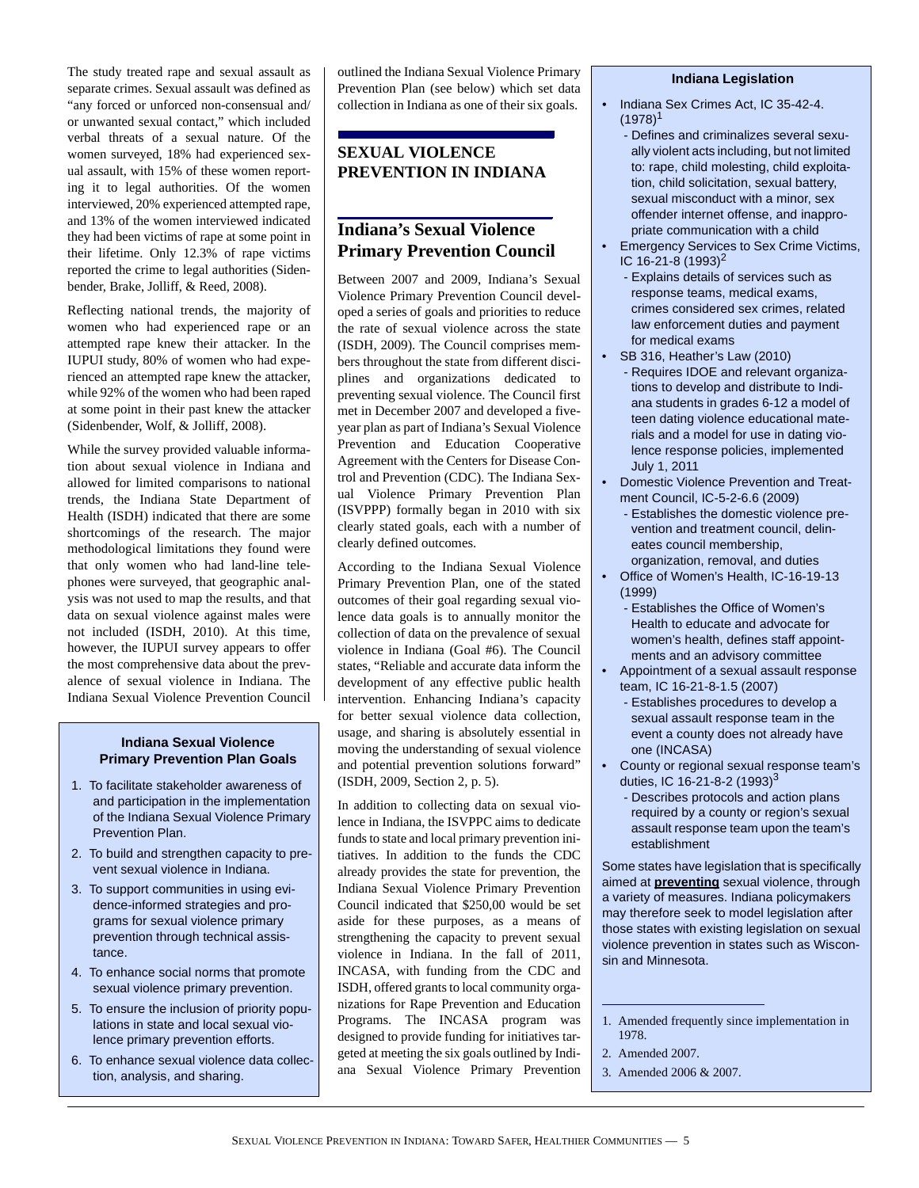The study treated rape and sexual assault as separate crimes. Sexual assault was defined as "any forced or unforced non-consensual and/ or unwanted sexual contact," which included verbal threats of a sexual nature. Of the women surveyed, 18% had experienced sexual assault, with 15% of these women reporting it to legal authorities. Of the women interviewed, 20% experienced attempted rape, and 13% of the women interviewed indicated they had been victims of rape at some point in their lifetime. Only 12.3% of rape victims reported the crime to legal authorities (Sidenbender, Brake, Jolliff, & Reed, 2008).

Reflecting national trends, the majority of women who had experienced rape or an attempted rape knew their attacker. In the IUPUI study, 80% of women who had experienced an attempted rape knew the attacker, while 92% of the women who had been raped at some point in their past knew the attacker (Sidenbender, Wolf, & Jolliff, 2008).

While the survey provided valuable information about sexual violence in Indiana and allowed for limited comparisons to national trends, the Indiana State Department of Health (ISDH) indicated that there are some shortcomings of the research. The major methodological limitations they found were that only women who had land-line telephones were surveyed, that geographic analysis was not used to map the results, and that data on sexual violence against males were not included (ISDH, 2010). At this time, however, the IUPUI survey appears to offer the most comprehensive data about the prevalence of sexual violence in Indiana. The Indiana Sexual Violence Prevention Council

#### **Indiana Sexual Violence Primary Prevention Plan Goals**

- 1. To facilitate stakeholder awareness of and participation in the implementation of the Indiana Sexual Violence Primary Prevention Plan.
- 2. To build and strengthen capacity to prevent sexual violence in Indiana.
- 3. To support communities in using evidence-informed strategies and programs for sexual violence primary prevention through technical assistance.
- 4. To enhance social norms that promote sexual violence primary prevention.
- 5. To ensure the inclusion of priority populations in state and local sexual violence primary prevention efforts.
- 6. To enhance sexual violence data collection, analysis, and sharing.

outlined the Indiana Sexual Violence Primary Prevention Plan (see below) which set data collection in Indiana as one of their six goals.

## **SEXUAL VIOLENCE PREVENTION IN INDIANA**

## **Indiana's Sexual Violence Primary Prevention Council**

Between 2007 and 2009, Indiana's Sexual Violence Primary Prevention Council developed a series of goals and priorities to reduce the rate of sexual violence across the state (ISDH, 2009). The Council comprises members throughout the state from different disciplines and organizations dedicated to preventing sexual violence. The Council first met in December 2007 and developed a fiveyear plan as part of Indiana's Sexual Violence Prevention and Education Cooperative Agreement with the Centers for Disease Control and Prevention (CDC). The Indiana Sexual Violence Primary Prevention Plan (ISVPPP) formally began in 2010 with six clearly stated goals, each with a number of clearly defined outcomes.

According to the Indiana Sexual Violence Primary Prevention Plan, one of the stated outcomes of their goal regarding sexual violence data goals is to annually monitor the collection of data on the prevalence of sexual violence in Indiana (Goal #6). The Council states, "Reliable and accurate data inform the development of any effective public health intervention. Enhancing Indiana's capacity for better sexual violence data collection, usage, and sharing is absolutely essential in moving the understanding of sexual violence and potential prevention solutions forward" (ISDH, 2009, Section 2, p. 5).

In addition to collecting data on sexual violence in Indiana, the ISVPPC aims to dedicate funds to state and local primary prevention initiatives. In addition to the funds the CDC already provides the state for prevention, the Indiana Sexual Violence Primary Prevention Council indicated that \$250,00 would be set aside for these purposes, as a means of strengthening the capacity to prevent sexual violence in Indiana. In the fall of 2011, INCASA, with funding from the CDC and ISDH, offered grants to local community organizations for Rape Prevention and Education Programs. The INCASA program was designed to provide funding for initiatives targeted at meeting the six goals outlined by Indiana Sexual Violence Primary Prevention

#### **Indiana Legislation**

- Indiana Sex Crimes Act, IC 35-42-4.  $(1978)^1$ 
	- Defines and criminalizes several sexually violent acts including, but not limited to: rape, child molesting, child exploitation, child solicitation, sexual battery, sexual misconduct with a minor, sex offender internet offense, and inappropriate communication with a child
- Emergency Services to Sex Crime Victims, IC 16-21-8  $(1993)^2$ 
	- Explains details of services such as response teams, medical exams, crimes considered sex crimes, related law enforcement duties and payment for medical exams
- SB 316, Heather's Law (2010)
	- Requires IDOE and relevant organizations to develop and distribute to Indiana students in grades 6-12 a model of teen dating violence educational materials and a model for use in dating violence response policies, implemented July 1, 2011
- Domestic Violence Prevention and Treatment Council, IC-5-2-6.6 (2009)
	- Establishes the domestic violence prevention and treatment council, delineates council membership, organization, removal, and duties
- Office of Women's Health, IC-16-19-13 (1999)
	- Establishes the Office of Women's Health to educate and advocate for women's health, defines staff appointments and an advisory committee
- Appointment of a sexual assault response team, IC 16-21-8-1.5 (2007)
	- Establishes procedures to develop a sexual assault response team in the event a county does not already have one (INCASA)
- County or regional sexual response team's duties, IC 16-21-8-2  $(1993)^3$ 
	- Describes protocols and action plans required by a county or region's sexual assault response team upon the team's establishment

Some states have legislation that is specifically aimed at **preventing** sexual violence, through a variety of measures. Indiana policymakers may therefore seek to model legislation after those states with existing legislation on sexual violence prevention in states such as Wisconsin and Minnesota.

- 2. Amended 2007.
- 3. Amended 2006 & 2007.

<sup>1.</sup> Amended frequently since implementation in 1978.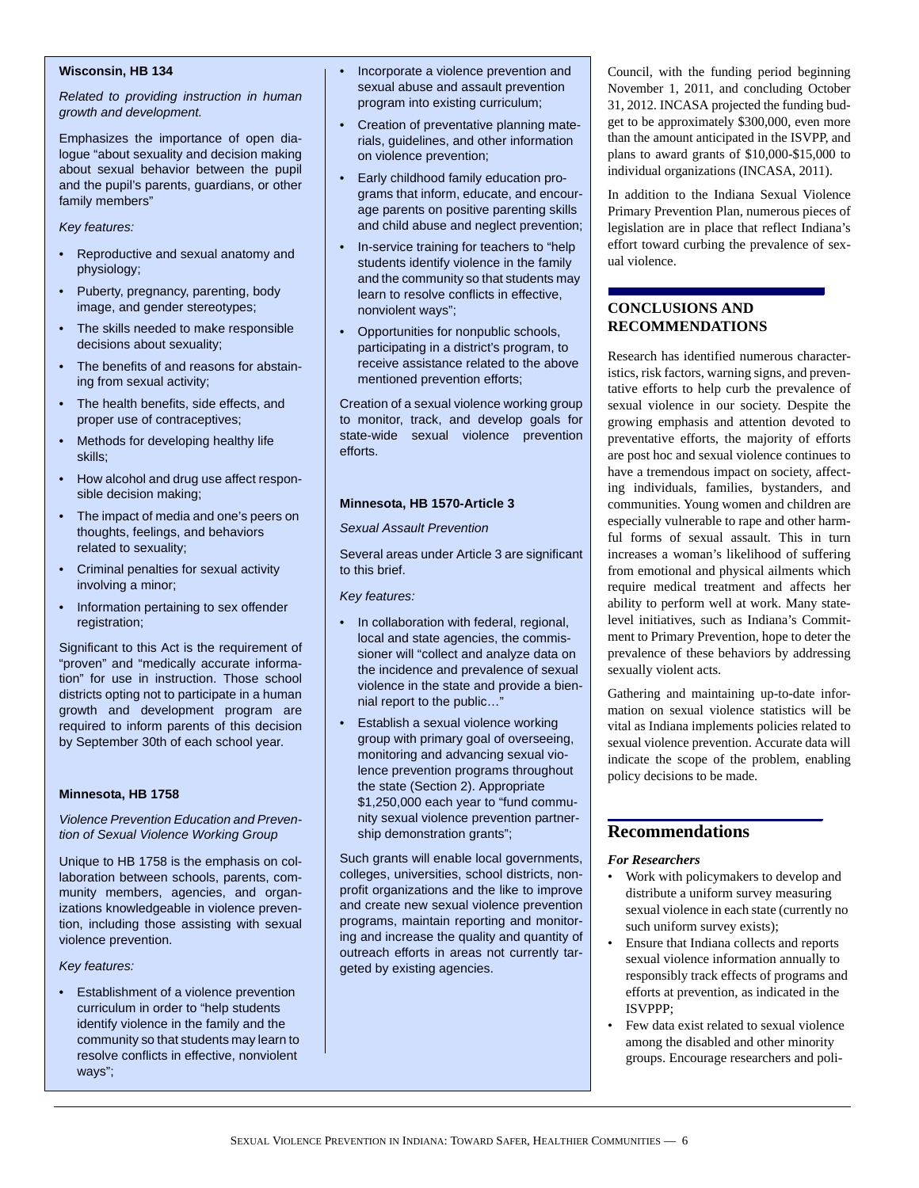#### **Wisconsin, HB 134**

*Related to providing instruction in human growth and development.* 

Emphasizes the importance of open dialogue "about sexuality and decision making about sexual behavior between the pupil and the pupil's parents, guardians, or other family members"

#### *Key features:*

- Reproductive and sexual anatomy and physiology;
- Puberty, pregnancy, parenting, body image, and gender stereotypes;
- The skills needed to make responsible decisions about sexuality;
- The benefits of and reasons for abstaining from sexual activity;
- The health benefits, side effects, and proper use of contraceptives;
- Methods for developing healthy life skills;
- How alcohol and drug use affect responsible decision making;
- The impact of media and one's peers on thoughts, feelings, and behaviors related to sexuality;
- Criminal penalties for sexual activity involving a minor;
- Information pertaining to sex offender registration;

Significant to this Act is the requirement of "proven" and "medically accurate information" for use in instruction. Those school districts opting not to participate in a human growth and development program are required to inform parents of this decision by September 30th of each school year.

#### **Minnesota, HB 1758**

*Violence Prevention Education and Prevention of Sexual Violence Working Group*

Unique to HB 1758 is the emphasis on collaboration between schools, parents, community members, agencies, and organizations knowledgeable in violence prevention, including those assisting with sexual violence prevention.

#### *Key features:*

• Establishment of a violence prevention curriculum in order to "help students identify violence in the family and the community so that students may learn to resolve conflicts in effective, nonviolent ways";

- Incorporate a violence prevention and sexual abuse and assault prevention program into existing curriculum;
- Creation of preventative planning materials, guidelines, and other information on violence prevention;
- Early childhood family education programs that inform, educate, and encourage parents on positive parenting skills and child abuse and neglect prevention;
- In-service training for teachers to "help students identify violence in the family and the community so that students may learn to resolve conflicts in effective, nonviolent ways";
- Opportunities for nonpublic schools, participating in a district's program, to receive assistance related to the above mentioned prevention efforts;

Creation of a sexual violence working group to monitor, track, and develop goals for state-wide sexual violence prevention efforts.

#### **Minnesota, HB 1570-Article 3**

*Sexual Assault Prevention*

Several areas under Article 3 are significant to this brief.

*Key features:*

- In collaboration with federal, regional, local and state agencies, the commissioner will "collect and analyze data on the incidence and prevalence of sexual violence in the state and provide a biennial report to the public…"
- Establish a sexual violence working group with primary goal of overseeing, monitoring and advancing sexual violence prevention programs throughout the state (Section 2). Appropriate \$1,250,000 each year to "fund community sexual violence prevention partnership demonstration grants";

Such grants will enable local governments, colleges, universities, school districts, nonprofit organizations and the like to improve and create new sexual violence prevention programs, maintain reporting and monitoring and increase the quality and quantity of outreach efforts in areas not currently targeted by existing agencies.

Council, with the funding period beginning November 1, 2011, and concluding October 31, 2012. INCASA projected the funding budget to be approximately \$300,000, even more than the amount anticipated in the ISVPP, and plans to award grants of \$10,000-\$15,000 to individual organizations (INCASA, 2011).

In addition to the Indiana Sexual Violence Primary Prevention Plan, numerous pieces of legislation are in place that reflect Indiana's effort toward curbing the prevalence of sexual violence.

## **CONCLUSIONS AND RECOMMENDATIONS**

Research has identified numerous characteristics, risk factors, warning signs, and preventative efforts to help curb the prevalence of sexual violence in our society. Despite the growing emphasis and attention devoted to preventative efforts, the majority of efforts are post hoc and sexual violence continues to have a tremendous impact on society, affecting individuals, families, bystanders, and communities. Young women and children are especially vulnerable to rape and other harmful forms of sexual assault. This in turn increases a woman's likelihood of suffering from emotional and physical ailments which require medical treatment and affects her ability to perform well at work. Many statelevel initiatives, such as Indiana's Commitment to Primary Prevention, hope to deter the prevalence of these behaviors by addressing sexually violent acts.

Gathering and maintaining up-to-date information on sexual violence statistics will be vital as Indiana implements policies related to sexual violence prevention. Accurate data will indicate the scope of the problem, enabling policy decisions to be made.

## **Recommendations**

#### *For Researchers*

- Work with policymakers to develop and distribute a uniform survey measuring sexual violence in each state (currently no such uniform survey exists);
- Ensure that Indiana collects and reports sexual violence information annually to responsibly track effects of programs and efforts at prevention, as indicated in the ISVPPP;
- Few data exist related to sexual violence among the disabled and other minority groups. Encourage researchers and poli-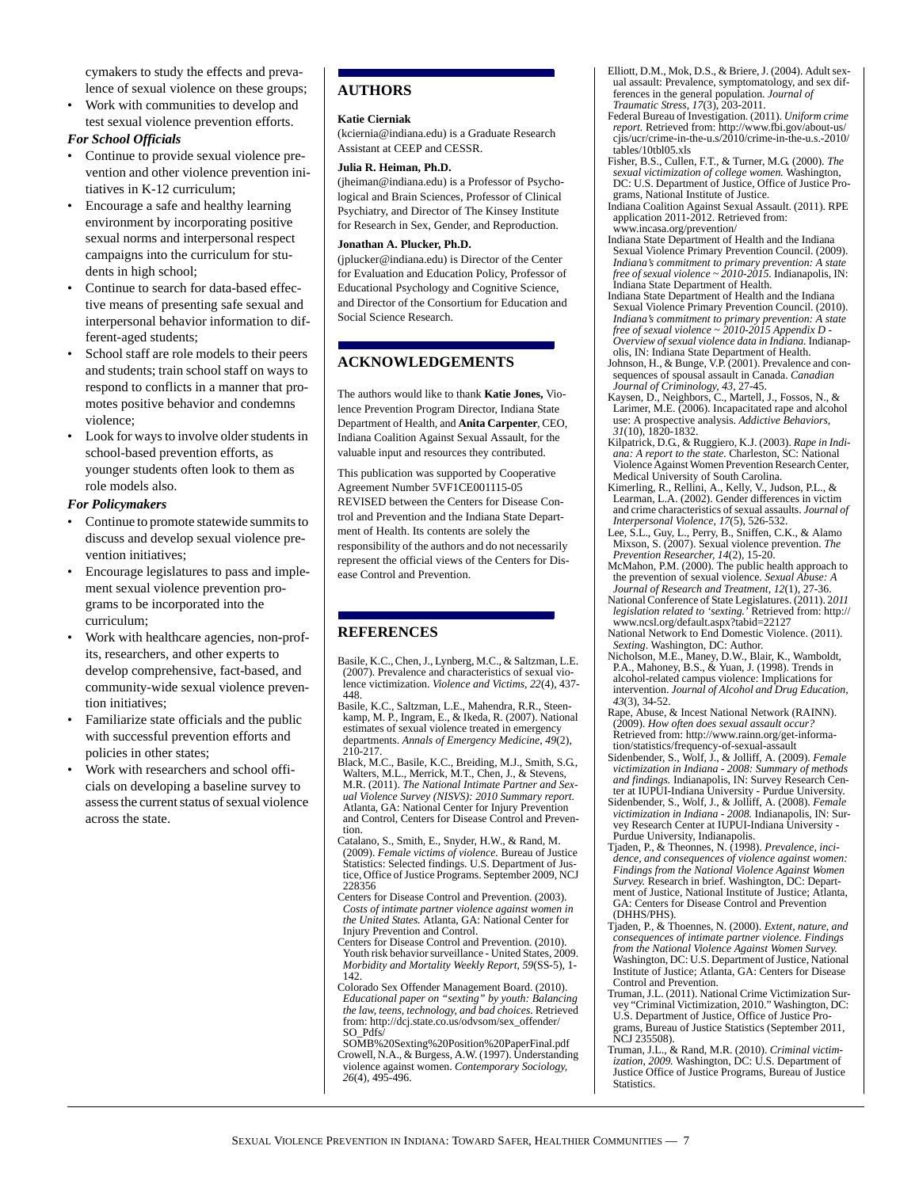cymakers to study the effects and prevalence of sexual violence on these groups;

• Work with communities to develop and test sexual violence prevention efforts.

#### *For School Officials*

- Continue to provide sexual violence prevention and other violence prevention initiatives in K-12 curriculum;
- Encourage a safe and healthy learning environment by incorporating positive sexual norms and interpersonal respect campaigns into the curriculum for students in high school;
- Continue to search for data-based effective means of presenting safe sexual and interpersonal behavior information to different-aged students;
- School staff are role models to their peers and students; train school staff on ways to respond to conflicts in a manner that promotes positive behavior and condemns violence;
- Look for ways to involve older students in school-based prevention efforts, as younger students often look to them as role models also.

#### *For Policymakers*

- Continue to promote statewide summits to discuss and develop sexual violence prevention initiatives;
- Encourage legislatures to pass and implement sexual violence prevention programs to be incorporated into the curriculum;
- Work with healthcare agencies, non-profits, researchers, and other experts to develop comprehensive, fact-based, and community-wide sexual violence prevention initiatives;
- Familiarize state officials and the public with successful prevention efforts and policies in other states;
- Work with researchers and school officials on developing a baseline survey to assess the current status of sexual violence across the state.

## **AUTHORS**

#### **Katie Cierniak**

(kciernia@indiana.edu) is a Graduate Research Assistant at CEEP and CESSR.

#### **Julia R. Heiman, Ph.D.**

(jheiman@indiana.edu) is a Professor of Psychological and Brain Sciences, Professor of Clinical Psychiatry, and Director of The Kinsey Institute for Research in Sex, Gender, and Reproduction.

#### **Jonathan A. Plucker, Ph.D.**

(jplucker@indiana.edu) is Director of the Center for Evaluation and Education Policy, Professor of Educational Psychology and Cognitive Science, and Director of the Consortium for Education and Social Science Research.

#### **ACKNOWLEDGEMENTS**

The authors would like to thank **Katie Jones,** Violence Prevention Program Director, Indiana State Department of Health, and **Anita Carpenter**, CEO, Indiana Coalition Against Sexual Assault, for the valuable input and resources they contributed.

This publication was supported by Cooperative Agreement Number 5VF1CE001115-05 REVISED between the Centers for Disease Control and Prevention and the Indiana State Department of Health. Its contents are solely the responsibility of the authors and do not necessarily represent the official views of the Centers for Disease Control and Prevention.

### **REFERENCES**

- Basile, K.C., Chen, J., Lynberg, M.C., & Saltzman, L.E. (2007). Prevalence and characteristics of sexual violence victimization. *Violence and Victims, 22*(4), 437- 448.
- Basile, K.C., Saltzman, L.E., Mahendra, R.R., Steenkamp, M. P., Ingram, E., & Ikeda, R. (2007). National estimates of sexual violence treated in emergency departments. *Annals of Emergency Medicine, 49*(2), 210-217.
- Black, M.C., Basile, K.C., Breiding, M.J., Smith, S.G., Walters, M.L., Merrick, M.T., Chen, J., & Stevens, M.R. (2011). *The National Intimate Partner and Sexual Violence Survey (NISVS): 2010 Summary report.*  Atlanta, GA: National Center for Injury Prevention and Control, Centers for Disease Control and Prevention.
- Catalano, S., Smith, E., Snyder, H.W., & Rand, M. (2009). *Female victims of violence.* Bureau of Justice Statistics: Selected findings. U.S. Department of Justice, Office of Justice Programs. September 2009, NCJ 228356
- Centers for Disease Control and Prevention. (2003). *Costs of intimate partner violence against women in the United States.* Atlanta, GA: National Center for Injury Prevention and Control.
- Centers for Disease Control and Prevention. (2010). Youth risk behavior surveillance - United States, 2009. *Morbidity and Mortality Weekly Report, 59*(SS-5), 1- 142.
- Colorado Sex Offender Management Board. (2010). *Educational paper on "sexting" by youth: Balancing the law, teens, technology, and bad choices.* Retrieved from: http://dcj.state.co.us/odvsom/sex\_offender/ SO\_Pdfs/
- SOMB%20Sexting%20Position%20PaperFinal.pdf Crowell, N.A., & Burgess, A.W. (1997). Understanding violence against women. *Contemporary Sociology, 26*(4), 495-496.

Elliott, D.M., Mok, D.S., & Briere, J. (2004). Adult sexual assault: Prevalence, symptomatology, and sex differences in the general population. *Journal of Traumatic Stress, 17*(3), 203-2011.

- Federal Bureau of Investigation. (2011). *Uniform crime report.* Retrieved from: http://www.fbi.gov/about-us/ cjis/ucr/crime-in-the-u.s/2010/crime-in-the-u.s.-2010/ tables/10tbl05.xls
- Fisher, B.S., Cullen, F.T., & Turner, M.G. (2000). *The sexual victimization of college women.* Washington, DC: U.S. Department of Justice, Office of Justice Programs, National Institute of Justice.
- Indiana Coalition Against Sexual Assault. (2011). RPE application 2011-2012. Retrieved from: www.incasa.org/prevention/
- Indiana State Department of Health and the Indiana Sexual Violence Primary Prevention Council. (2009). *Indiana's commitment to primary prevention: A state free of sexual violence ~ 2010-2015.* Indianapolis, IN: Indiana State Department of Health.
- Indiana State Department of Health and the Indiana Sexual Violence Primary Prevention Council. (2010). *Indiana's commitment to primary prevention: A state free of sexual violence ~ 2010-2015 Appendix D - Overview of sexual violence data in Indiana.* Indianapolis, IN: Indiana State Department of Health.
- Johnson, H., & Bunge, V.P. (2001). Prevalence and consequences of spousal assault in Canada. *Canadian Journal of Criminology, 43,* 27-45.
- Kaysen, D., Neighbors, C., Martell, J., Fossos, N., & Larimer, M.E. (2006). Incapacitated rape and alcohol use: A prospective analysis. *Addictive Behaviors, 31*(10), 1820-1832.
- Kilpatrick, D.G., & Ruggiero, K.J. (2003). *Rape in Indiana: A report to the state.* Charleston, SC: National Violence Against Women Prevention Research Center,
- Medical University of South Carolina. Kimerling, R., Rellini, A., Kelly, V., Judson, P.L., & Learman, L.A. (2002). Gender differences in victim and crime characteristics of sexual assaults. *Journal of Interpersonal Violence, 17*(5), 526-532.
- Lee, S.L., Guy, L., Perry, B., Sniffen, C.K., & Alamo Mixson, S. (2007). Sexual violence prevention. *The Prevention Researcher, 14*(2), 15-20. McMahon, P.M. (2000). The public health approach to
- the prevention of sexual violence. *Sexual Abuse: A Journal of Research and Treatment, 12*(1), 27-36.
- National Conference of State Legislatures. (2011). 2*011 legislation related to 'sexting.'* Retrieved from: http:// www.ncsl.org/default.aspx?tabid=22127 National Network to End Domestic Violence. (2011).
- *Sexting*. Washington, DC: Author.
- Nicholson, M.E., Maney, D.W., Blair, K., Wamboldt, P.A., Mahoney, B.S., & Yuan, J. (1998). Trends in alcohol-related campus violence: Implications for intervention. *Journal of Alcohol and Drug Education, 43*(3), 34-52.
- Rape, Abuse, & Incest National Network (RAINN). (2009). *How often does sexual assault occur?*  Retrieved from: http://www.rainn.org/get-informa-
- tion/statistics/frequency-of-sexual-assault Sidenbender, S., Wolf, J., & Jolliff, A. (2009). *Female victimization in Indiana - 2008: Summary of methods and findings.* Indianapolis, IN: Survey Research Center at IUPUI-Indiana University - Purdue University.
- Sidenbender, S., Wolf, J., & Jolliff, A. (2008). *Female victimization in Indiana - 2008.* Indianapolis, IN: Survey Research Center at IUPUI-Indiana University -Purdue University, Indianapolis.
- Tjaden, P., & Theonnes, N. (1998). *Prevalence, incidence, and consequences of violence against women: Findings from the National Violence Against Women Survey.* Research in brief. Washington, DC: Department of Justice, National Institute of Justice; Atlanta, GA: Centers for Disease Control and Prevention (DHHS/PHS).
- Tjaden, P., & Thoennes, N. (2000). *Extent, nature, and consequences of intimate partner violence. Findings from the National Violence Against Women Survey.*  Washington, DC: U.S. Department of Justice, National Institute of Justice; Atlanta, GA: Centers for Disease Control and Prevention.
- Truman, J.L. (2011). National Crime Victimization Sur-vey "Criminal Victimization, 2010." Washington, DC: U.S. Department of Justice, Office of Justice Programs, Bureau of Justice Statistics (September 2011, NCJ 235508).
- Truman, J.L., & Rand, M.R. (2010). *Criminal victimization, 2009.* Washington, DC: U.S. Department of Justice Office of Justice Programs, Bureau of Justice Statistics.